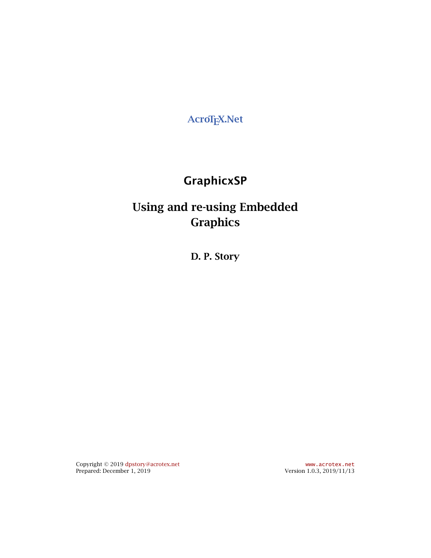**AcroTEX.Net**

# **GraphicxSP**

# **Using and re-using Embedded Graphics**

**D. P. Story**

Copyright © 2019 [dpstory@acrotex.net](mailto:dpstory@acrotex.net) <www.acrotex.net> Prepared: December 1, 2019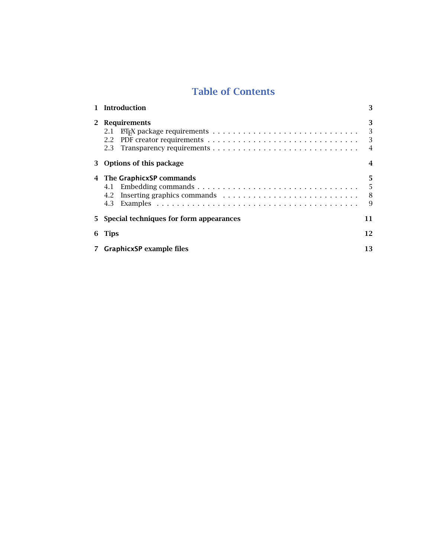# **Table of Contents**

|                | 1 Introduction                            | 3                             |
|----------------|-------------------------------------------|-------------------------------|
|                | 2 Requirements<br>2.1<br>2.2              | 3<br>3<br>3<br>$\overline{4}$ |
|                | 3 Options of this package                 |                               |
|                | 4 The GraphicxSP commands<br>4.3          | 5<br>5<br>8<br>9              |
|                | 5 Special techniques for form appearances | 11                            |
|                | 6 Tips                                    | 12                            |
| $\overline{7}$ | <b>GraphicxSP</b> example files           | 13                            |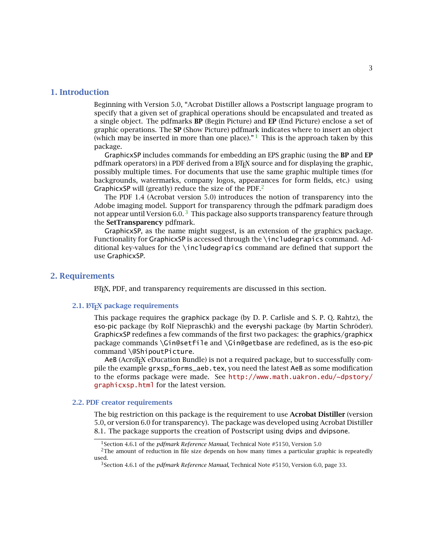### <span id="page-2-0"></span>**1. Introduction**

Beginning with Version 5.0, "Acrobat Distiller allows a Postscript language program to specify that a given set of graphical operations should be encapsulated and treated as a single object. The pdfmarks **BP** (Begin Picture) and **EP** (End Picture) enclose a set of graphic operations. The **SP** (Show Picture) pdfmark indicates where to insert an object (which may be inserted in more than one place)." $1$  This is the approach taken by this package.

GraphicxSP includes commands for embedding an EPS graphic (using the **BP** and **EP** pdfmark operators) in a PDF derived from a  $E$ F<sub>K</sub>X source and for displaying the graphic, possibly multiple times. For documents that use the same graphic multiple times (for backgrounds, watermarks, company logos, appearances for form fields, etc.) using GraphicxSP will (greatly) reduce the size of the PDF.<sup>2</sup>

The PDF 1.4 (Acrobat version 5.0) introduces the notion of transparency into the Adobe imaging model. Support for transparency through the pdfmark paradigm does not appear until Version  $6.0$ .  $3$  This package also supports transparency feature through the **SetTransparency** pdfmark.

GraphicxSP, as the name might suggest, is an extension of the graphicx package. Functionality for GraphicxSP is accessed through the \includegrapics command. Additional key-values for the \includegrapics command are defined that support the use GraphicxSP.

## **2. Requirements**

LATEX, PDF, and transparency requirements are discussed in this section.

#### **2.1. LATEX package requirements**

This package requires the graphicx package (by D. P. Carlisle and S. P. Q. Rahtz), the eso-pic package (by Rolf Niepraschk) and the everyshi package (by Martin Schröder). GraphicxSP redefines a few commands of the first two packages: the graphics/graphicx package commands \Gin@setfile and \Gin@getbase are redefined, as is the eso-pic command \@ShipoutPicture.

AeB (AcroT<sub>EX</sub> eDucation Bundle) is not a required package, but to successfully compile the example grxsp\_forms\_aeb.tex, you need the latest AeB as some modification to the eforms package were made. See [http://www.math.uakron.edu/~dpstory/](http://www.math.uakron.edu/~dpstory/graphicxsp.html) graphicxsp.html for the latest version.

#### **2.2. PDF creator requirements**

The big restriction on this package is the requirement to use **Acrobat Distiller** (version 5.0, or version 6.0 for transparency). The package was developed using Acrobat Distiller 8.1. The package supports the creation of Postscript using dvips and dvipsone.

<sup>&</sup>lt;sup>1</sup> Section 4.6.1 of the *pdfmark Reference Manual*, Technical Note #5150, Version 5.0

<sup>&</sup>lt;sup>2</sup>The amount of reduction in file size depends on how many times a particular graphic is repeatedly used.

<sup>3</sup>Section 4.6.1 of the *pdfmark Reference Manual*, Technical Note #5150, Version 6.0, page 33.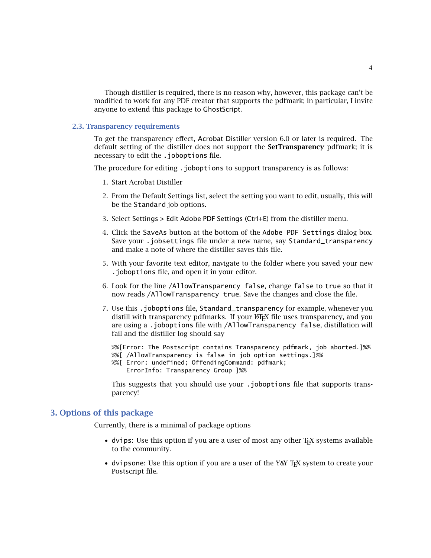<span id="page-3-0"></span>Though distiller is required, there is no reason why, however, this package can't be modified to work for any PDF creator that supports the pdfmark; in particular, I invite anyone to extend this package to GhostScript.

#### **2.3. Transparency requirements**

To get the transparency effect, Acrobat Distiller version 6.0 or later is required. The default setting of the distiller does not support the **SetTransparency** pdfmark; it is necessary to edit the .joboptions file.

The procedure for editing .joboptions to support transparency is as follows:

- 1. Start Acrobat Distiller
- 2. From the Default Settings list, select the setting you want to edit, usually, this will be the Standard job options.
- 3. Select Settings > Edit Adobe PDF Settings (Ctrl+E) from the distiller menu.
- 4. Click the SaveAs button at the bottom of the Adobe PDF Settings dialog box. Save your .jobsettings file under a new name, say Standard\_transparency and make a note of where the distiller saves this file.
- 5. With your favorite text editor, navigate to the folder where you saved your new .joboptions file, and open it in your editor.
- 6. Look for the line /AllowTransparency false, change false to true so that it now reads /AllowTransparency true. Save the changes and close the file.
- 7. Use this .joboptions file, Standard\_transparency for example, whenever you distill with transparency pdfmarks. If your  $E\nF K$  file uses transparency, and you are using a .joboptions file with /AllowTransparency false, distillation will fail and the distiller log should say

%%[Error: The Postscript contains Transparency pdfmark, job aborted.]%% %%[ /AllowTransparency is false in job option settings.]%%

%%[ Error: undefined; OffendingCommand: pdfmark; ErrorInfo: Transparency Group ]%%

This suggests that you should use your .joboptions file that supports transparency!

## **3. Options of this package**

Currently, there is a minimal of package options

- dvips: Use this option if you are a user of most any other T<sub>F</sub>X systems available to the community.
- dvipsone: Use this option if you are a user of the Y&Y T<sub>EX</sub> system to create your Postscript file.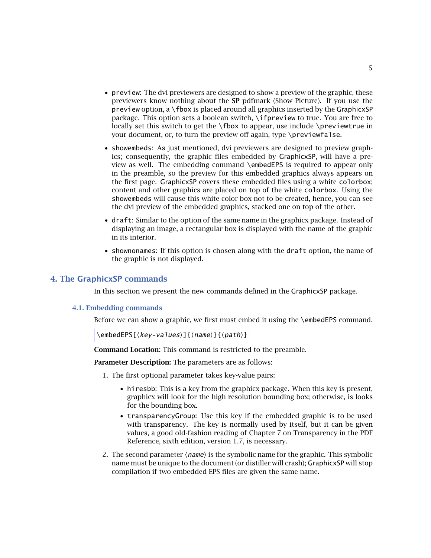- <span id="page-4-0"></span>• preview: The dvi previewers are designed to show a preview of the graphic, these previewers know nothing about the **SP** pdfmark (Show Picture). If you use the  $\overline{p}$  preview option, a \fbox is placed around all graphics inserted by the GraphicxSP package. This option sets a boolean switch, \ifpreview to true. You are free to locally set this switch to get the \fbox to appear, use include \previewtrue in your document, or, to turn the preview off again, type \previewfalse.
- showembeds: As just mentioned, dvi previewers are designed to preview graphics; consequently, the graphic files embedded by GraphicxSP, will have a preview as well. The embedding command \embedEPS is required to appear only in the preamble, so the preview for this embedded graphics always appears on the first page. GraphicxSP covers these embedded files using a white colorbox; content and other graphics are placed on top of the white colorbox. Using the showembeds will cause this white color box not to be created, hence, you can see the dvi preview of the embedded graphics, stacked one on top of the other.
- draft: Similar to the option of the same name in the graphicx package. Instead of displaying an image, a rectangular box is displayed with the name of the graphic in its interior.
- shownonames: If this option is chosen along with the draft option, the name of the graphic is not displayed.

In this section we present the new commands defined in the GraphicxSP package.

#### **4.1. Embedding commands**

Before we can show a graphic, we first must embed it using the \embedEPS command.

```
\embedEPS[{key-values}]{{name}}{{path}}
```
**Command Location:** This command is restricted to the preamble.

**Parameter Description:** The parameters are as follows:

- 1. The first optional parameter takes key-value pairs:
	- hiresbb: This is a key from the graphicx package. When this key is present, graphicx will look for the high resolution bounding box; otherwise, is looks for the bounding box.
	- transparencyGroup: Use this key if the embedded graphic is to be used with transparency. The key is normally used by itself, but it can be given values, a good old-fashion reading of Chapter 7 on Transparency in the PDF Reference, sixth edition, version 1.7, is necessary.
- 2. The second parameter  $\langle$  *name* $\rangle$  is the symbolic name for the graphic. This symbolic name must be unique to the document (or distiller will crash); GraphicxSP will stop compilation if two embedded EPS files are given the same name.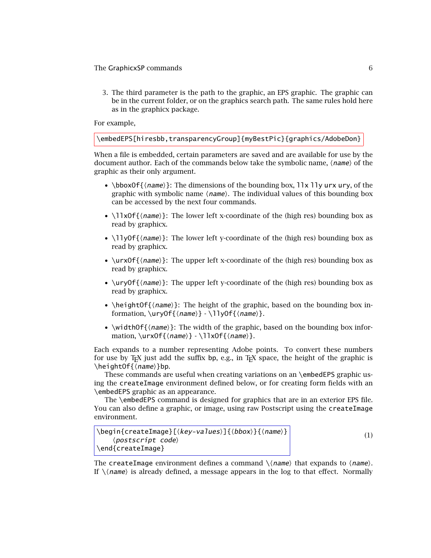<span id="page-5-0"></span>3. The third parameter is the path to the graphic, an EPS graphic. The graphic can be in the current folder, or on the graphics search path. The same rules hold here as in the graphicx package.

For example,

```
\embedEPS[hiresbb,transparencyGroup]{myBestPic}{graphics/AdobeDon}
```
When a file is embedded, certain parameters are saved and are available for use by the document author. Each of the commands below take the symbolic name,  $\langle$  name $\rangle$  of the graphic as their only argument.

- \bboxOf{ $\langle name \rangle$ }: The dimensions of the bounding box,  $\exists \exists y \text{ urx} \text{ ury}, \text{of the}$ graphic with symbolic name  $\langle$  *name* $\rangle$ . The individual values of this bounding box can be accessed by the next four commands.
- \llxOf{\mame}}: The lower left x-coordinate of the (high res) bounding box as read by graphicx.
- \llyOf{\*name*}}: The lower left y-coordinate of the (high res) bounding box as read by graphicx.
- \urxOf{ $\langle$ *name*}}: The upper left x-coordinate of the (high res) bounding box as read by graphicx.
- \uryOf{\*name*}}: The upper left y-coordinate of the (high res) bounding box as read by graphicx.
- \heightOf{ $\langle name \rangle$ }: The height of the graphic, based on the bounding box information, \uryOf{*\name*}} - \llyOf{*\name*}}.
- \widthOf{ $\langle name \rangle$ }: The width of the graphic, based on the bounding box information, \urxOf{\name\} - \llxOf{\name\}.

Each expands to a number representing Adobe points. To convert these numbers for use by T<sub>EX</sub> just add the suffix bp, e.g., in T<sub>EX</sub> space, the height of the graphic is \heightOf{\name}}bp.

These commands are useful when creating variations on an \embedEPS graphic using the createImage environment defined below, or for creating form fields with an \embedEPS graphic as an appearance.

The \embedEPS command is designed for graphics that are in an exterior EPS file. You can also define a graphic, or image, using raw Postscript using the createImage environment.

```
\begin{createImage}[\{key\text{-}values\}]{\{bb\} {\{name\}}
      \langle postscript\ \textit{code}\rangle\end{createImage}
```
(1)

The createImage environment defines a command  $\langle$  (*name*) that expands to  $\langle$  *name*). If  $\setminus$ (name) is already defined, a message appears in the log to that effect. Normally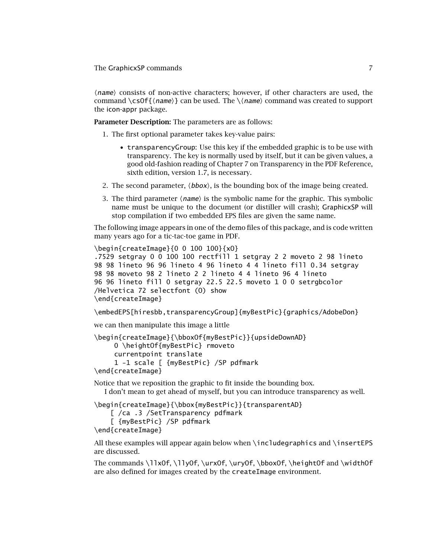(*name*) consists of non-active characters; however, if other characters are used, the command \cs0f{*(name*)} can be used. The \*(name*) command was created to support the icon-appr package.

**Parameter Description:** The parameters are as follows:

- 1. The first optional parameter takes key-value pairs:
	- transparencyGroup: Use this key if the embedded graphic is to be use with transparency. The key is normally used by itself, but it can be given values, a good old-fashion reading of Chapter 7 on Transparency in the PDF Reference, sixth edition, version 1.7, is necessary.
- 2. The second parameter,  $\langle \textit{bbox} \rangle$ , is the bounding box of the image being created.
- 3. The third parameter  $\langle$  *name* $\rangle$  is the symbolic name for the graphic. This symbolic name must be unique to the document (or distiller will crash); GraphicxSP will stop compilation if two embedded EPS files are given the same name.

The following image appears in one of the demo files of this package, and is code written many years ago for a tic-tac-toe game in PDF.

```
\begin{createImage}{0 0 100 100}{xO}
.7529 setgray 0 0 100 100 rectfill 1 setgray 2 2 moveto 2 98 lineto
98 98 lineto 96 96 lineto 4 96 lineto 4 4 lineto fill 0.34 setgray
98 98 moveto 98 2 lineto 2 2 lineto 4 4 lineto 96 4 lineto
96 96 lineto fill 0 setgray 22.5 22.5 moveto 1 0 0 setrgbcolor
/Helvetica 72 selectfont (O) show
\end{createImage}
```
\embedEPS[hiresbb,transparencyGroup]{myBestPic}{graphics/AdobeDon}

we can then manipulate this image a little

```
\begin{createImage}{\bboxOf{myBestPic}}{upsideDownAD}
    0 \heightOf{myBestPic} rmoveto
    currentpoint translate
     1 -1 scale [ {myBestPic} /SP pdfmark
\end{createImage}
```
Notice that we reposition the graphic to fit inside the bounding box. I don't mean to get ahead of myself, but you can introduce transparency as well.

\begin{createImage}{\bbox{myBestPic}}{transparentAD}

```
[ /ca .3 /SetTransparency pdfmark
    [ {myBestPic} /SP pdfmark
\end{createImage}
```
All these examples will appear again below when \includegraphics and \insertEPS are discussed.

The commands \llxOf, \llyOf, \urxOf, \uryOf, \bboxOf, \heightOf and \widthOf are also defined for images created by the createImage environment.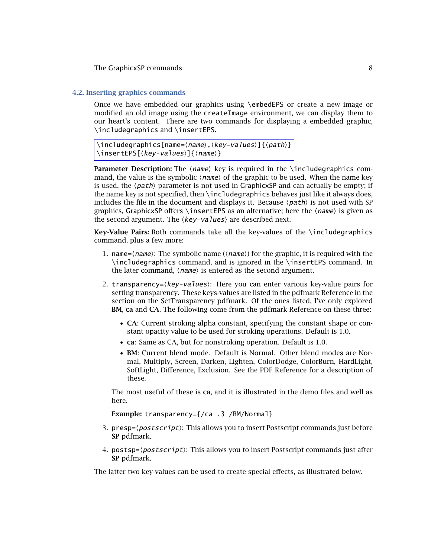#### <span id="page-7-0"></span>**4.2. Inserting graphics commands**

Once we have embedded our graphics using \embedEPS or create a new image or modified an old image using the createImage environment, we can display them to our heart's content. There are two commands for displaying a embedded graphic, \includegraphics and \insertEPS.

 $\langle \text{includegraphics[name=\langle name \rangle, \langle key\text{-values} \rangle] \{ \langle path \rangle \}$ \insertEPS[{*key-values*}]{{*name*}}

**Parameter Description:** The *(name*) key is required in the \includegraphics command, the value is the symbolic  $\langle$  *name* $\rangle$  of the graphic to be used. When the name key is used, the  $\langle path \rangle$  parameter is not used in GraphicxSP and can actually be empty; if the name key is not specified, then \includegraphics behaves just like it always does, includes the file in the document and displays it. Because  $\langle path \rangle$  is not used with SP graphics, GraphicxSP offers \insertEPS as an alternative; here the *\name*> is given as the second argument. The  $\langle key\text{-}values \rangle$  are described next.

**Key-Value Pairs:** Both commands take all the key-values of the \includegraphics command, plus a few more:

- 1. name= $\langle name \rangle$ : The symbolic name  $(\langle name \rangle)$  for the graphic, it is required with the \includegraphics command, and is ignored in the \insertEPS command. In the later command,  $\langle$ *name* $\rangle$  is entered as the second argument.
- 2. transparency= $\langle key\text{-}values \rangle$ : Here you can enter various key-value pairs for setting transparency. These keys-values are listed in the pdfmark Reference in the section on the SetTransparency pdfmark. Of the ones listed, I've only explored **BM**, **ca** and **CA**. The following come from the pdfmark Reference on these three:
	- **CA**: Current stroking alpha constant, specifying the constant shape or constant opacity value to be used for stroking operations. Default is 1.0.
	- **ca**: Same as CA, but for nonstroking operation. Default is 1.0.
	- **BM**: Current blend mode. Default is Normal. Other blend modes are Normal, Multiply, Screen, Darken, Lighten, ColorDodge, ColorBurn, HardLight, SoftLight, Difference, Exclusion. See the PDF Reference for a description of these.

The most useful of these is **ca**, and it is illustrated in the demo files and well as here.

**Example:** transparency={/ca .3 /BM/Normal}

- 3. presp= $\langle postscript\rangle$ : This allows you to insert Postscript commands just before **SP** pdfmark.
- 4.  $\mathsf{postsp}=\langle \mathsf{postscript} \rangle$ : This allows you to insert Postscript commands just after **SP** pdfmark.

The latter two key-values can be used to create special effects, as illustrated below.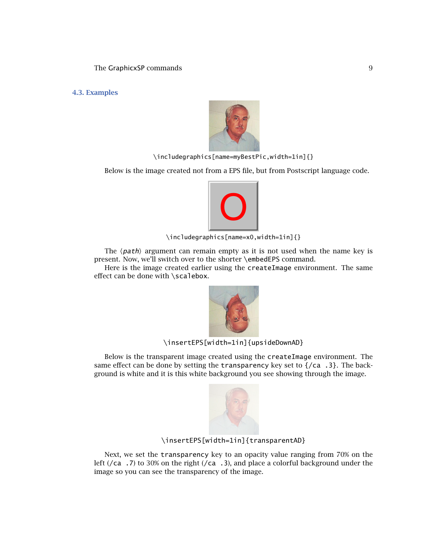<span id="page-8-0"></span>**4.3. Examples**



\includegraphics[name=myBestPic,width=1in]{}

Below is the image created not from a EPS file, but from Postscript language code.



\includegraphics[name=x0,width=1in]{}

The  $\langle$ *path* $\rangle$  argument can remain empty as it is not used when the name key is present. Now, we'll switch over to the shorter \embedEPS command.

Here is the image created earlier using the createImage environment. The same effect can be done with \scalebox.



\insertEPS[width=1in]{upsideDownAD}

Below is the transparent image created using the createImage environment. The same effect can be done by setting the transparency key set to {/ca .3}. The background is white and it is this white background you see showing through the image.



# \insertEPS[width=1in]{transparentAD}

Next, we set the transparency key to an opacity value ranging from 70% on the left ( $/ca$  .7) to 30% on the right ( $/ca$  .3), and place a colorful background under the image so you can see the transparency of the image.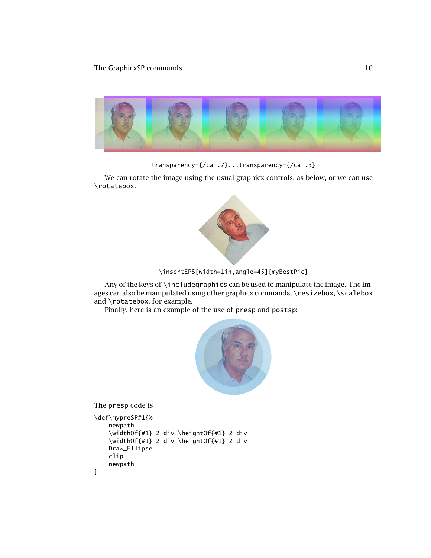

transparency={/ca .7}...transparency={/ca .3}

We can rotate the image using the usual graphicx controls, as below, or we can use \rotatebox.



```
\insertEPS[width=1in,angle=45]{myBestPic}
```
Any of the keys of \includegraphics can be used to manipulate the image. The images can also be manipulated using other graphicx commands, \resizebox, \scalebox and \rotatebox, for example.

Finally, here is an example of the use of presp and postsp:



The presp code is

```
\def\mypreSP#1{%
   newpath
    \widthOf{#1} 2 div \heightOf{#1} 2 div
    \widthOf{#1} 2 div \heightOf{#1} 2 div
   Draw_Ellipse
    clip
    newpath
}
```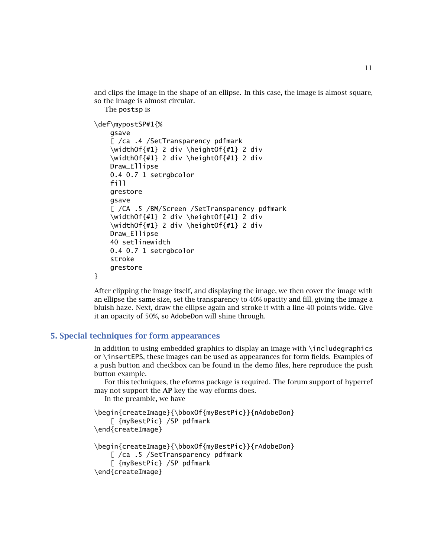11

<span id="page-10-0"></span>and clips the image in the shape of an ellipse. In this case, the image is almost square, so the image is almost circular.

The postsp is

```
\def\mypostSP#1{%
    gsave
    [ /ca .4 /SetTransparency pdfmark
    \widthOf{#1} 2 div \heightOf{#1} 2 div
    \widthOf{#1} 2 div \heightOf{#1} 2 div
    Draw_Ellipse
    0.4 0.7 1 setrgbcolor
    fill
    grestore
    gsave
    [ /CA .5 /BM/Screen /SetTransparency pdfmark
    \widthOf{#1} 2 div \heightOf{#1} 2 div
    \widthOf{#1} 2 div \heightOf{#1} 2 div
    Draw_Ellipse
    40 setlinewidth
    0.4 0.7 1 setrgbcolor
    stroke
    grestore
}
```
After clipping the image itself, and displaying the image, we then cover the image with an ellipse the same size, set the transparency to 40% opacity and fill, giving the image a bluish haze. Next, draw the ellipse again and stroke it with a line 40 points wide. Give it an opacity of 50%, so AdobeDon will shine through.

# **5. Special techniques for form appearances**

In addition to using embedded graphics to display an image with \includegraphics or \insertEPS, these images can be used as appearances for form fields. Examples of a push button and checkbox can be found in the demo files, here reproduce the push button example.

For this techniques, the eforms package is required. The forum support of hyperref may not support the **AP** key the way eforms does.

In the preamble, we have

```
\begin{createImage}{\bboxOf{myBestPic}}{nAdobeDon}
    [ {myBestPic} /SP pdfmark
\end{createImage}
```

```
\begin{createImage}{\bboxOf{myBestPic}}{rAdobeDon}
```

```
[ /ca .5 /SetTransparency pdfmark
    [ {myBestPic} /SP pdfmark
\end{createImage}
```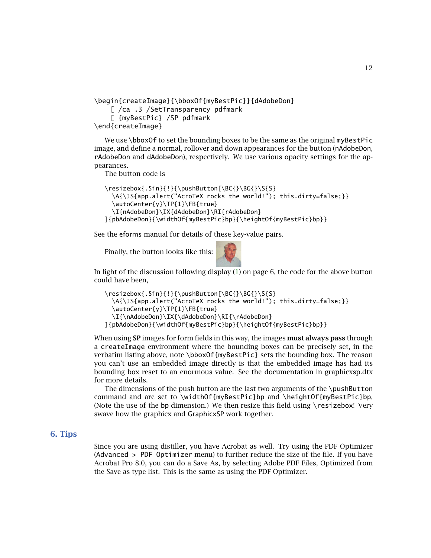12

```
\begin{createImage}{\bboxOf{myBestPic}}{dAdobeDon}
    [ /ca .3 /SetTransparency pdfmark
    [ {myBestPic} /SP pdfmark
\end{createImage}
```
We use \bboxOf to set the bounding boxes to be the same as the original myBestPic image, and define a normal, rollover and down appearances for the button (nAdobeDon, rAdobeDon and dAdobeDon), respectively. We use various opacity settings for the appearances.

The button code is

```
\resize box{.5in}{!}\pushButton[\BE]{\BG{}\S{S}\A{\JS{app.alert("AcroTeX rocks the world!"); this.dirty=false;}}
  \autoCenter{y}\TP{1}\FB{true}
  \I{nAdobeDon}\IX{dAdobeDon}\RI{rAdobeDon}
]{pbAdobeDon}{\widthOf{myBestPic}bp}{\heightOf{myBestPic}bp}}
```
See the eforms manual for details of these key-value pairs.

Finally, the button looks like this:



In light of the discussion following display [\(1\)](#page-5-0) on page 6, the code for the above button could have been,

```
\resizebox{.5in}{!}{\pushButton[\BC{}\BG{}\S{S}
  \A{\JS{app.alert("AcroTeX rocks the world!"); this.dirty=false;}}
  \autoCenter{y}\TP{1}\FB{true}
  \I{\nAdobeDon}\IX{\dAdobeDon}\RI{\rAdobeDon}
]{pbAdobeDon}{\widthOf{myBestPic}bp}{\heightOf{myBestPic}bp}}
```
When using **SP** images for form fields in this way, the images **must always pass** through a createImage environment where the bounding boxes can be precisely set, in the verbatim listing above, note \bboxOf{myBestPic} sets the bounding box. The reason you can't use an embedded image directly is that the embedded image has had its bounding box reset to an enormous value. See the documentation in graphicxsp.dtx for more details.

The dimensions of the push button are the last two arguments of the \pushButton command and are set to \widthOf{myBestPic}bp and \heightOf{myBestPic}bp, (Note the use of the bp dimension.) We then resize this field using \resizebox! Very swave how the graphicx and GraphicxSP work together.

# **6. Tips**

Since you are using distiller, you have Acrobat as well. Try using the PDF Optimizer (Advanced > PDF Optimizer menu) to further reduce the size of the file. If you have Acrobat Pro 8.0, you can do a Save As, by selecting Adobe PDF Files, Optimized from the Save as type list. This is the same as using the PDF Optimizer.